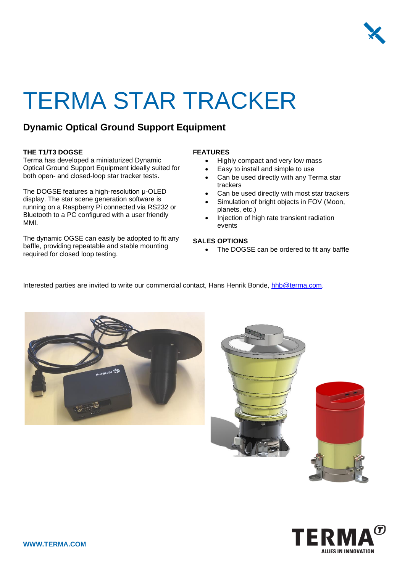

# TERMA STAR TRACKER

### **Dynamic Optical Ground Support Equipment**

#### **THE T1/T3 DOGSE**

Terma has developed a miniaturized Dynamic Optical Ground Support Equipment ideally suited for both open- and closed-loop star tracker tests.

The DOGSE features a high-resolution μ-OLED display. The star scene generation software is running on a Raspberry Pi connected via RS232 or Bluetooth to a PC configured with a user friendly MMI.

The dynamic OGSE can easily be adopted to fit any baffle, providing repeatable and stable mounting required for closed loop testing.

#### **FEATURES**

- Highly compact and very low mass
- Easy to install and simple to use
- Can be used directly with any Terma star trackers
- Can be used directly with most star trackers
- Simulation of bright objects in FOV (Moon, planets, etc.)
- Injection of high rate transient radiation events

#### **SALES OPTIONS**

The DOGSE can be ordered to fit any baffle

Interested parties are invited to write our commercial contact, Hans Henrik Bonde, [hhb@terma.com.](mailto:hhb@terma.com)